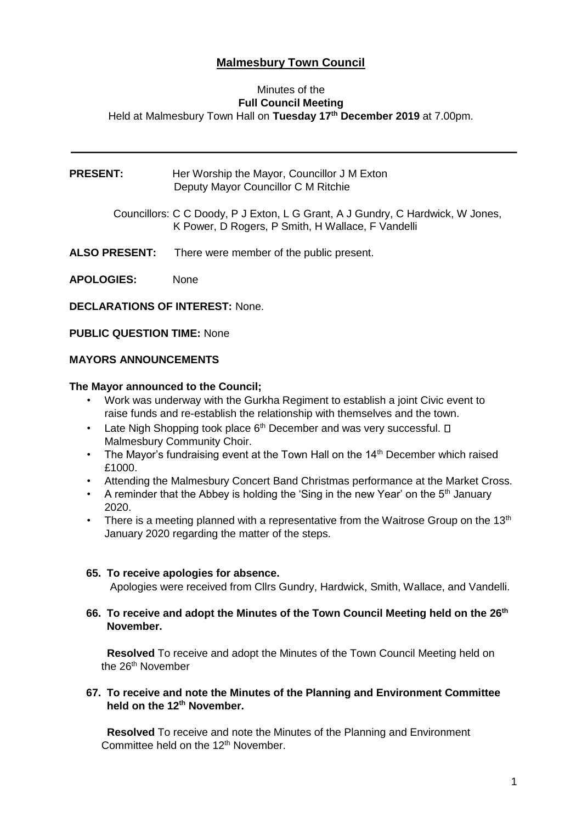# **Malmesbury Town Council**

#### Minutes of the **Full Council Meeting** Held at Malmesbury Town Hall on **Tuesday 17th December 2019** at 7.00pm.

**PRESENT:** Her Worship the Mayor, Councillor J M Exton Deputy Mayor Councillor C M Ritchie

> Councillors: C C Doody, P J Exton, L G Grant, A J Gundry, C Hardwick, W Jones, K Power, D Rogers, P Smith, H Wallace, F Vandelli

**ALSO PRESENT:** There were member of the public present.

**APOLOGIES:** None

**DECLARATIONS OF INTEREST:** None.

**PUBLIC QUESTION TIME:** None

#### **MAYORS ANNOUNCEMENTS**

#### **The Mayor announced to the Council;**

- Work was underway with the Gurkha Regiment to establish a joint Civic event to raise funds and re-establish the relationship with themselves and the town.
- Late Nigh Shopping took place  $6<sup>th</sup>$  December and was very successful.  $\square$ Malmesbury Community Choir.
- The Mayor's fundraising event at the Town Hall on the 14<sup>th</sup> December which raised £1000.
- Attending the Malmesbury Concert Band Christmas performance at the Market Cross.
- A reminder that the Abbey is holding the 'Sing in the new Year' on the  $5<sup>th</sup>$  January 2020.
- There is a meeting planned with a representative from the Waitrose Group on the 13<sup>th</sup> January 2020 regarding the matter of the steps.

#### **65. To receive apologies for absence.**

Apologies were received from Cllrs Gundry, Hardwick, Smith, Wallace, and Vandelli.

**66. To receive and adopt the Minutes of the Town Council Meeting held on the 26th November.** 

 **Resolved** To receive and adopt the Minutes of the Town Council Meeting held on the 26<sup>th</sup> November

#### **67. To receive and note the Minutes of the Planning and Environment Committee held on the 12th November.**

 **Resolved** To receive and note the Minutes of the Planning and Environment Committee held on the 12<sup>th</sup> November.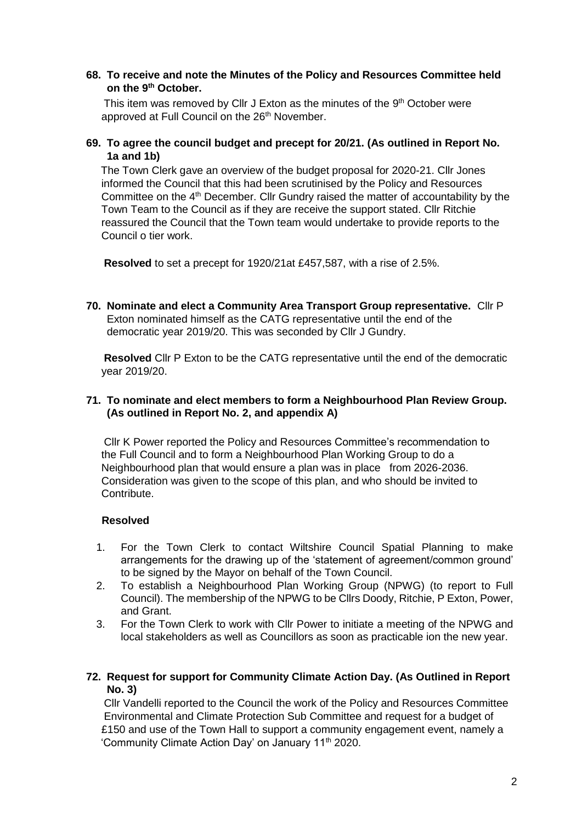#### **68. To receive and note the Minutes of the Policy and Resources Committee held on the 9th October.**

This item was removed by Cllr J Exton as the minutes of the  $9<sup>th</sup>$  October were approved at Full Council on the 26<sup>th</sup> November.

# **69. To agree the council budget and precept for 20/21. (As outlined in Report No. 1a and 1b)**

The Town Clerk gave an overview of the budget proposal for 2020-21. Cllr Jones informed the Council that this had been scrutinised by the Policy and Resources Committee on the 4<sup>th</sup> December. Cllr Gundry raised the matter of accountability by the Town Team to the Council as if they are receive the support stated. Cllr Ritchie reassured the Council that the Town team would undertake to provide reports to the Council o tier work.

**Resolved** to set a precept for 1920/21at £457,587, with a rise of 2.5%.

**70. Nominate and elect a Community Area Transport Group representative.** Cllr P Exton nominated himself as the CATG representative until the end of the democratic year 2019/20. This was seconded by Cllr J Gundry.

**Resolved** Cllr P Exton to be the CATG representative until the end of the democratic year 2019/20.

#### **71. To nominate and elect members to form a Neighbourhood Plan Review Group. (As outlined in Report No. 2, and appendix A)**

Cllr K Power reported the Policy and Resources Committee's recommendation to the Full Council and to form a Neighbourhood Plan Working Group to do a Neighbourhood plan that would ensure a plan was in place from 2026-2036. Consideration was given to the scope of this plan, and who should be invited to Contribute.

#### **Resolved**

- 1. For the Town Clerk to contact Wiltshire Council Spatial Planning to make arrangements for the drawing up of the 'statement of agreement/common ground' to be signed by the Mayor on behalf of the Town Council.
- 2. To establish a Neighbourhood Plan Working Group (NPWG) (to report to Full Council). The membership of the NPWG to be Cllrs Doody, Ritchie, P Exton, Power, and Grant.
- 3. For the Town Clerk to work with Cllr Power to initiate a meeting of the NPWG and local stakeholders as well as Councillors as soon as practicable ion the new year.

#### **72. Request for support for Community Climate Action Day. (As Outlined in Report No. 3)**

Cllr Vandelli reported to the Council the work of the Policy and Resources Committee Environmental and Climate Protection Sub Committee and request for a budget of £150 and use of the Town Hall to support a community engagement event, namely a 'Community Climate Action Day' on January 11<sup>th</sup> 2020.